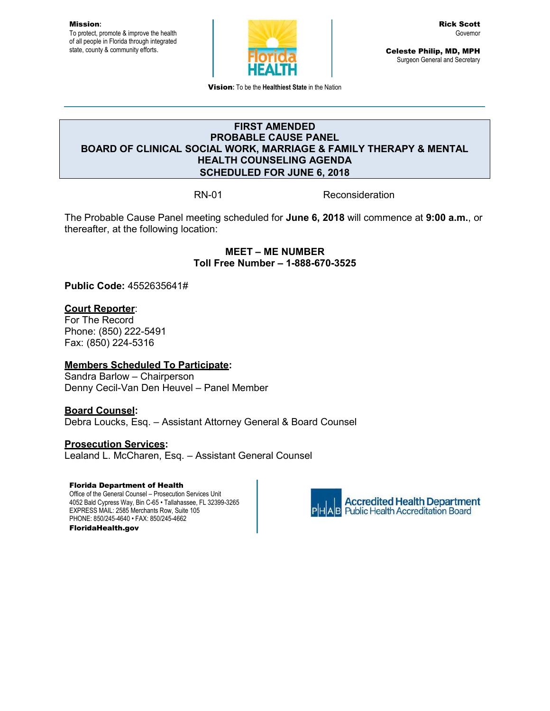Mission**:** To protect, promote & improve the health of all people in Florida through integrated state, county & community efforts.



Celeste Philip, MD, MPH Surgeon General and Secretary

Vision**:** To be the **Healthiest State** in the Nation

## **FIRST AMENDED PROBABLE CAUSE PANEL BOARD OF CLINICAL SOCIAL WORK, MARRIAGE & FAMILY THERAPY & MENTAL HEALTH COUNSELING AGENDA SCHEDULED FOR JUNE 6, 2018**

RN-01 Reconsideration

The Probable Cause Panel meeting scheduled for **June 6, 2018** will commence at **9:00 a.m.**, or thereafter, at the following location:

> **MEET – ME NUMBER Toll Free Number – 1-888-670-3525**

**Public Code:** 4552635641#

#### **Court Reporter**:

For The Record Phone: (850) 222-5491 Fax: (850) 224-5316

#### **Members Scheduled To Participate:**

Sandra Barlow – Chairperson Denny Cecil-Van Den Heuvel – Panel Member

## **Board Counsel:**

Debra Loucks, Esq. – Assistant Attorney General & Board Counsel

#### **Prosecution Services:**

Lealand L. McCharen, Esq. – Assistant General Counsel

#### Florida Department of Health

Office of the General Counsel – Prosecution Services Unit 4052 Bald Cypress Way, Bin C-65 • Tallahassee, FL 32399-3265 EXPRESS MAIL: 2585 Merchants Row, Suite 105 PHONE: 850/245-4640 • FAX: 850/245-4662 FloridaHealth.gov